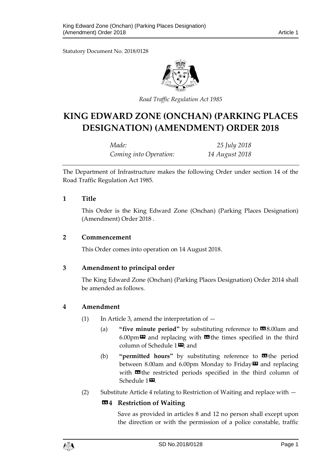Statutory Document No. 2018/0128



*Road Traffic Regulation Act 1985*

# **KING EDWARD ZONE (ONCHAN) (PARKING PLACES DESIGNATION) (AMENDMENT) ORDER 2018**

| Made:                  | 25 July 2018   |
|------------------------|----------------|
| Coming into Operation: | 14 August 2018 |

The Department of Infrastructure makes the following Order under section 14 of the Road Traffic Regulation Act 1985.

# **1 Title**

This Order is the King Edward Zone (Onchan) (Parking Places Designation) (Amendment) Order 2018 .

#### **2 Commencement**

This Order comes into operation on 14 August 2018.

# **3 Amendment to principal order**

The King Edward Zone (Onchan) (Parking Places Designation) Order 2014 shall be amended as follows.

# **4 Amendment**

- (1) In Article 3, amend the interpretation of  $-$ 
	- (a) **"five minute period"** by substituting reference to **19**8.00am and 6.00pm $\boldsymbol{\mathsf{m}}$  and replacing with  $\boldsymbol{\mathsf{m}}$  the times specified in the third column of Schedule  $1\overline{2}$ ; and
	- (b) **"permitted hours"** by substituting reference to **II** the period between 8.00am and 6.00pm Monday to Friday $\boldsymbol{\Xi}$  and replacing with  $\Box$  the restricted periods specified in the third column of Schedule 1<sup>20</sup>.
- (2) Substitute Article 4 relating to Restriction of Waiting and replace with —

# **«4 Restriction of Waiting**

Save as provided in articles 8 and 12 no person shall except upon the direction or with the permission of a police constable, traffic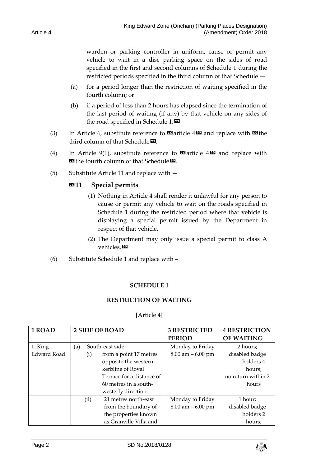Article **4**

warden or parking controller in uniform, cause or permit any vehicle to wait in a disc parking space on the sides of road specified in the first and second columns of Schedule 1 during the restricted periods specified in the third column of that Schedule —

- (a) for a period longer than the restriction of waiting specified in the fourth column; or
- (b) if a period of less than 2 hours has elapsed since the termination of the last period of waiting (if any) by that vehicle on any sides of the road specified in Schedule 1. $\blacksquare$
- (3) In Article 6, substitute reference to  $\blacksquare$  article  $4\blacksquare$  and replace with  $\blacksquare$  the third column of that Schedule $\mathbf{D}$ .
- (4) In Article 9(1), substitute reference to  $\blacksquare$  article  $4\blacksquare$  and replace with **E** the fourth column of that Schedule **D**.
- (5) Substitute Article 11 and replace with —

# «**11 Special permits**

- (1) Nothing in Article 4 shall render it unlawful for any person to cause or permit any vehicle to wait on the roads specified in Schedule 1 during the restricted period where that vehicle is displaying a special permit issued by the Department in respect of that vehicle.
- (2) The Department may only issue a special permit to class A vehicles.»
- (6) Substitute Schedule 1 and replace with –

# **SCHEDULE 1**

#### **RESTRICTION OF WAITING**

#### [Article 4]

| 1 ROAD             | <b>2 SIDE OF ROAD</b> |      |                           | <b>3 RESTRICTED</b>  | <b>4 RESTRICTION</b> |
|--------------------|-----------------------|------|---------------------------|----------------------|----------------------|
|                    |                       |      |                           | <b>PERIOD</b>        | <b>OF WAITING</b>    |
| 1. King            | (a)                   |      | South-east side           | Monday to Friday     | 2 hours;             |
| <b>Edward Road</b> |                       | (i)  | from a point 17 metres    | $8.00$ am $-6.00$ pm | disabled badge       |
|                    |                       |      | opposite the western      |                      | holders 4            |
|                    |                       |      | kerbline of Royal         |                      | hours;               |
|                    |                       |      | Terrace for a distance of |                      | no return within 2   |
|                    |                       |      | 60 metres in a south-     |                      | hours                |
|                    |                       |      | westerly direction.       |                      |                      |
|                    |                       | (ii) | 21 metres north-east      | Monday to Friday     | 1 hour;              |
|                    |                       |      | from the boundary of      | $8.00$ am $-6.00$ pm | disabled badge       |
|                    |                       |      | the properties known      |                      | holders 2            |
|                    |                       |      | as Granville Villa and    |                      | hours;               |

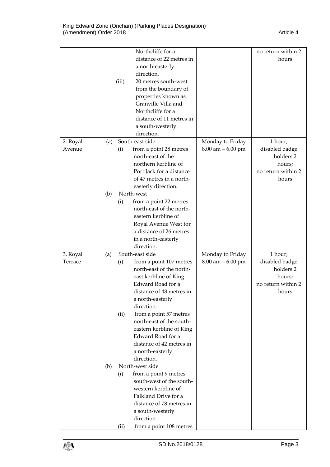|          |     |       | Northcliffe for a        |                      | no return within 2 |
|----------|-----|-------|--------------------------|----------------------|--------------------|
|          |     |       | distance of 22 metres in |                      | hours              |
|          |     |       | a north-easterly         |                      |                    |
|          |     |       | direction.               |                      |                    |
|          |     | (iii) | 20 metres south-west     |                      |                    |
|          |     |       | from the boundary of     |                      |                    |
|          |     |       | properties known as      |                      |                    |
|          |     |       | Granville Villa and      |                      |                    |
|          |     |       | Northcliffe for a        |                      |                    |
|          |     |       | distance of 11 metres in |                      |                    |
|          |     |       | a south-westerly         |                      |                    |
|          |     |       | direction.               |                      |                    |
| 2. Royal | (a) |       | South-east side          | Monday to Friday     | 1 hour;            |
| Avenue   |     | (i)   | from a point 28 metres   | $8.00$ am $-6.00$ pm | disabled badge     |
|          |     |       | north-east of the        |                      | holders 2          |
|          |     |       | northern kerbline of     |                      | hours;             |
|          |     |       | Port Jack for a distance |                      | no return within 2 |
|          |     |       | of 47 metres in a north- |                      | hours              |
|          |     |       | easterly direction.      |                      |                    |
|          | (b) |       | North-west               |                      |                    |
|          |     | (i)   | from a point 22 metres   |                      |                    |
|          |     |       | north-east of the north- |                      |                    |
|          |     |       | eastern kerbline of      |                      |                    |
|          |     |       | Royal Avenue West for    |                      |                    |
|          |     |       | a distance of 26 metres  |                      |                    |
|          |     |       | in a north-easterly      |                      |                    |
|          |     |       | direction.               |                      |                    |
| 3. Royal | (a) |       | South-east side          | Monday to Friday     | 1 hour;            |
| Terrace  |     | (i)   | from a point 107 metres  | $8.00$ am $-6.00$ pm | disabled badge     |
|          |     |       | north-east of the north- |                      | holders 2          |
|          |     |       | east kerbline of King    |                      | hours;             |
|          |     |       | Edward Road for a        |                      | no return within 2 |
|          |     |       | distance of 48 metres in |                      | hours              |
|          |     |       | a north-easterly         |                      |                    |
|          |     |       | direction.               |                      |                    |
|          |     | (ii)  | from a point 57 metres   |                      |                    |
|          |     |       | north-east of the south- |                      |                    |
|          |     |       | eastern kerbline of King |                      |                    |
|          |     |       | Edward Road for a        |                      |                    |
|          |     |       | distance of 42 metres in |                      |                    |
|          |     |       | a north-easterly         |                      |                    |
|          |     |       | direction.               |                      |                    |
|          | (b) |       | North-west side          |                      |                    |
|          |     | (i)   | from a point 9 metres    |                      |                    |
|          |     |       | south-west of the south- |                      |                    |
|          |     |       | western kerbline of      |                      |                    |
|          |     |       | Falkland Drive for a     |                      |                    |
|          |     |       | distance of 78 metres in |                      |                    |
|          |     |       | a south-westerly         |                      |                    |
|          |     |       | direction.               |                      |                    |
|          |     |       | from a point 108 metres  |                      |                    |

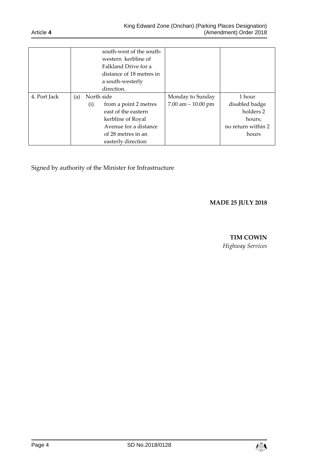|              |     |     | south-west of the south-<br>western kerbline of<br>Falkland Drive for a<br>distance of 18 metres in<br>a south-westerly<br>direction. |                                         |                                                                       |
|--------------|-----|-----|---------------------------------------------------------------------------------------------------------------------------------------|-----------------------------------------|-----------------------------------------------------------------------|
| 4. Port Jack | (a) | (i) | North side<br>from a point 2 metres<br>east of the eastern<br>kerbline of Royal<br>Avenue for a distance                              | Monday to Sunday<br>7.00 am $-10.00$ pm | 1 hour<br>disabled badge<br>holders 2<br>hours;<br>no return within 2 |
|              |     |     | of 28 metres in an<br>easterly direction                                                                                              |                                         | hours                                                                 |

Signed by authority of the Minister for Infrastructure

# **MADE 25 JULY 2018**

#### **TIM COWIN**

*Highway Services*